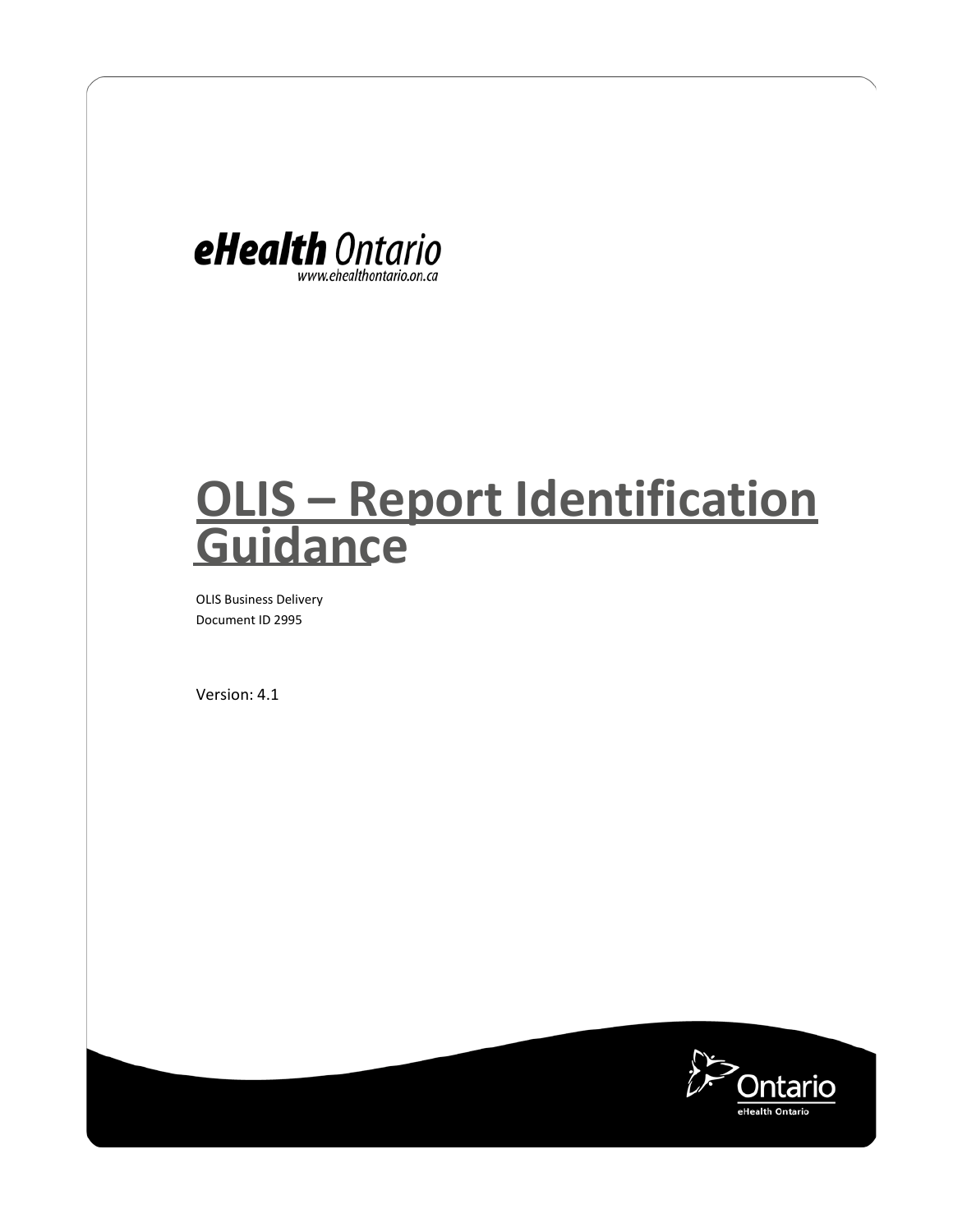

# **OLIS – Report Identification Guidance**

OLIS Business Delivery Document ID 2995

Version: 4.1

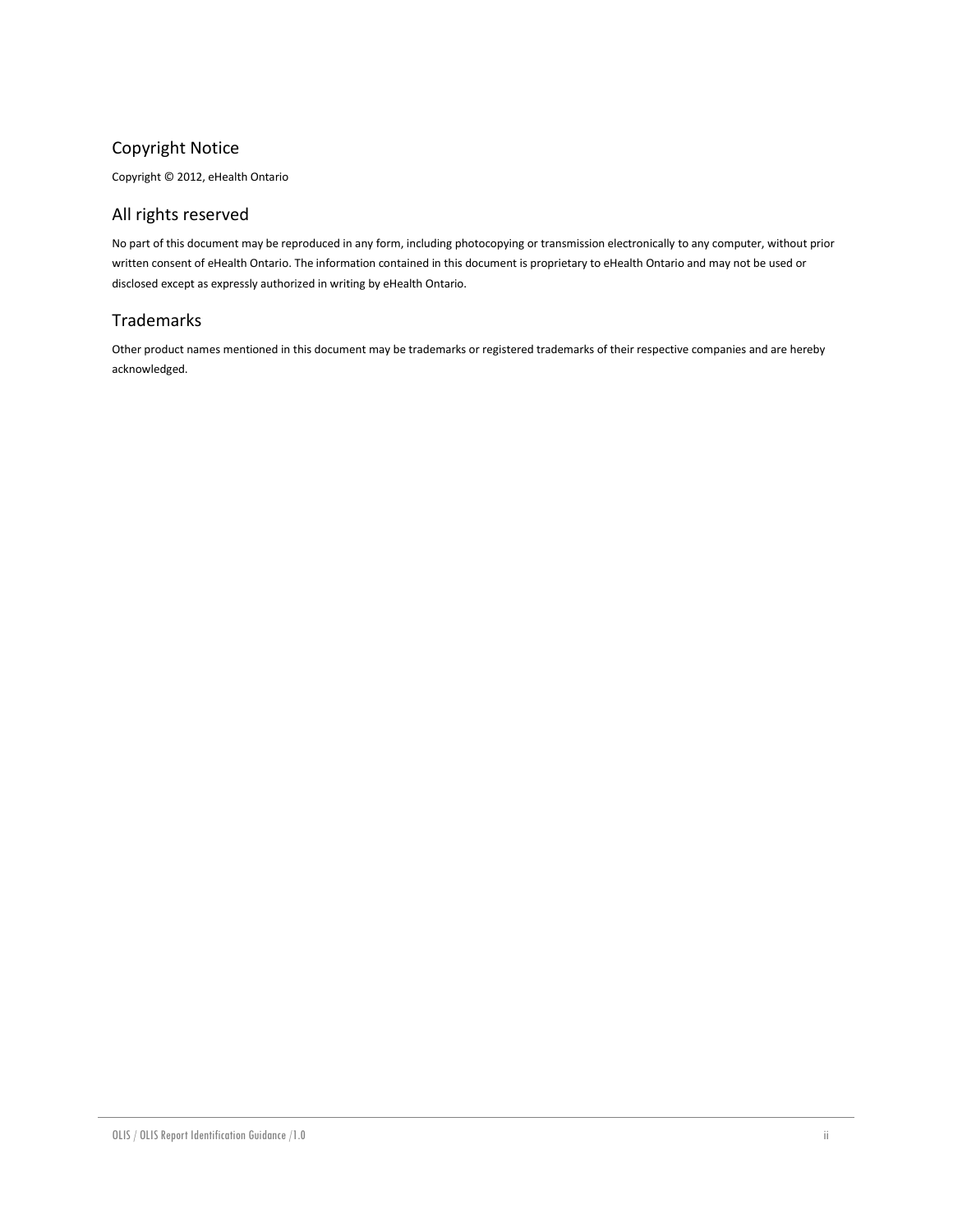#### Copyright Notice

Copyright © 2012, eHealth Ontario

#### All rights reserved

No part of this document may be reproduced in any form, including photocopying or transmission electronically to any computer, without prior written consent of eHealth Ontario. The information contained in this document is proprietary to eHealth Ontario and may not be used or disclosed except as expressly authorized in writing by eHealth Ontario.

#### Trademarks

Other product names mentioned in this document may be trademarks or registered trademarks of their respective companies and are hereby acknowledged.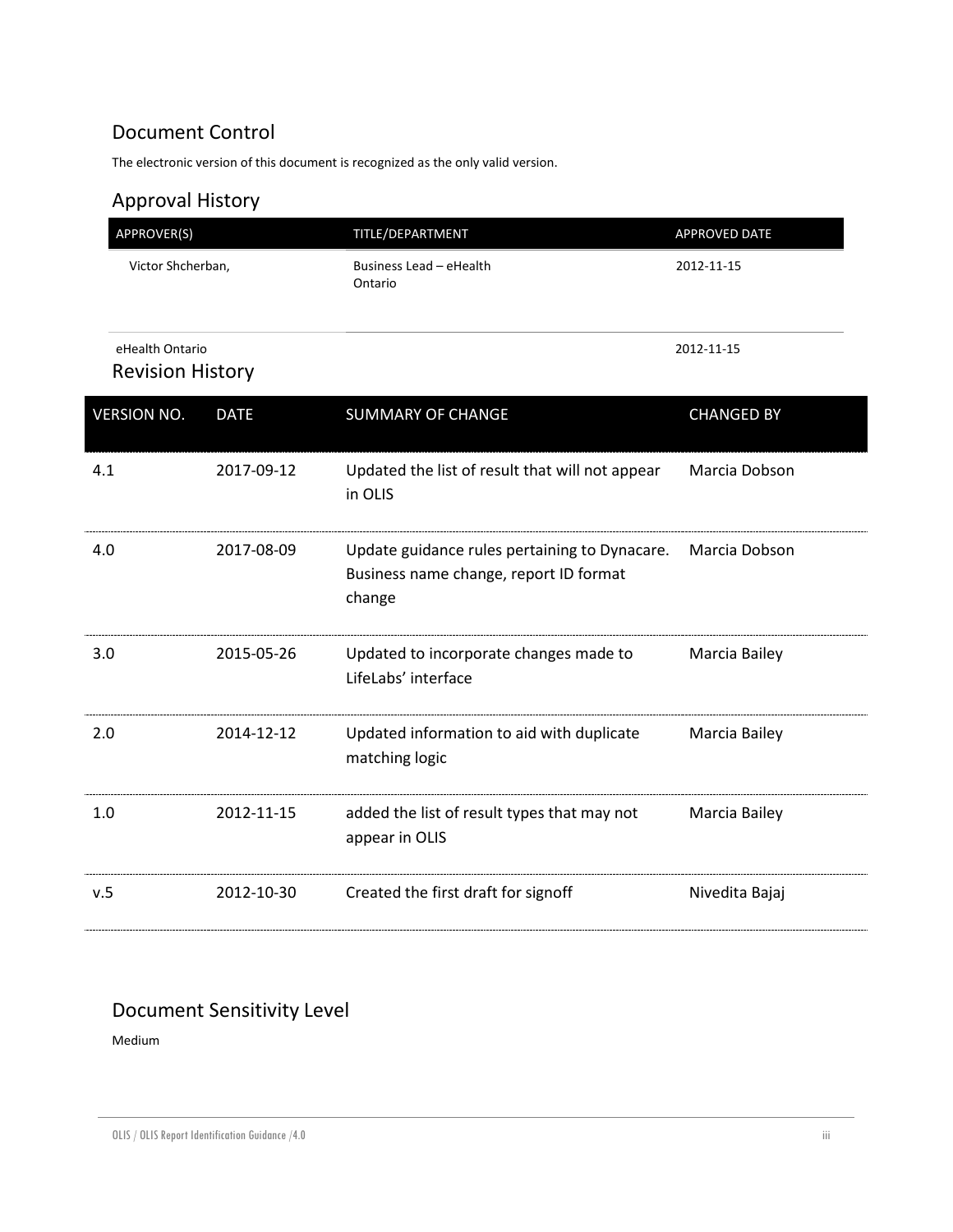### Document Control

The electronic version of this document is recognized as the only valid version.

## Approval History

| APPROVER(S)                                |             | TITLE/DEPARTMENT                                                                                  | <b>APPROVED DATE</b> |
|--------------------------------------------|-------------|---------------------------------------------------------------------------------------------------|----------------------|
| Victor Shcherban,                          |             | Business Lead - eHealth<br>Ontario                                                                | 2012-11-15           |
| eHealth Ontario<br><b>Revision History</b> |             |                                                                                                   | 2012-11-15           |
| <b>VERSION NO.</b>                         | <b>DATE</b> | <b>SUMMARY OF CHANGE</b>                                                                          | <b>CHANGED BY</b>    |
| 4.1                                        | 2017-09-12  | Updated the list of result that will not appear<br>in OLIS                                        | Marcia Dobson        |
| 4.0                                        | 2017-08-09  | Update guidance rules pertaining to Dynacare.<br>Business name change, report ID format<br>change | Marcia Dobson        |
| 3.0                                        | 2015-05-26  | Updated to incorporate changes made to<br>LifeLabs' interface                                     | Marcia Bailey        |
| 2.0                                        | 2014-12-12  | Updated information to aid with duplicate<br>matching logic                                       | Marcia Bailey        |
| 1.0                                        | 2012-11-15  | added the list of result types that may not<br>appear in OLIS                                     | Marcia Bailey        |
| v.5                                        | 2012-10-30  | Created the first draft for signoff                                                               | Nivedita Bajaj       |

## Document Sensitivity Level

Medium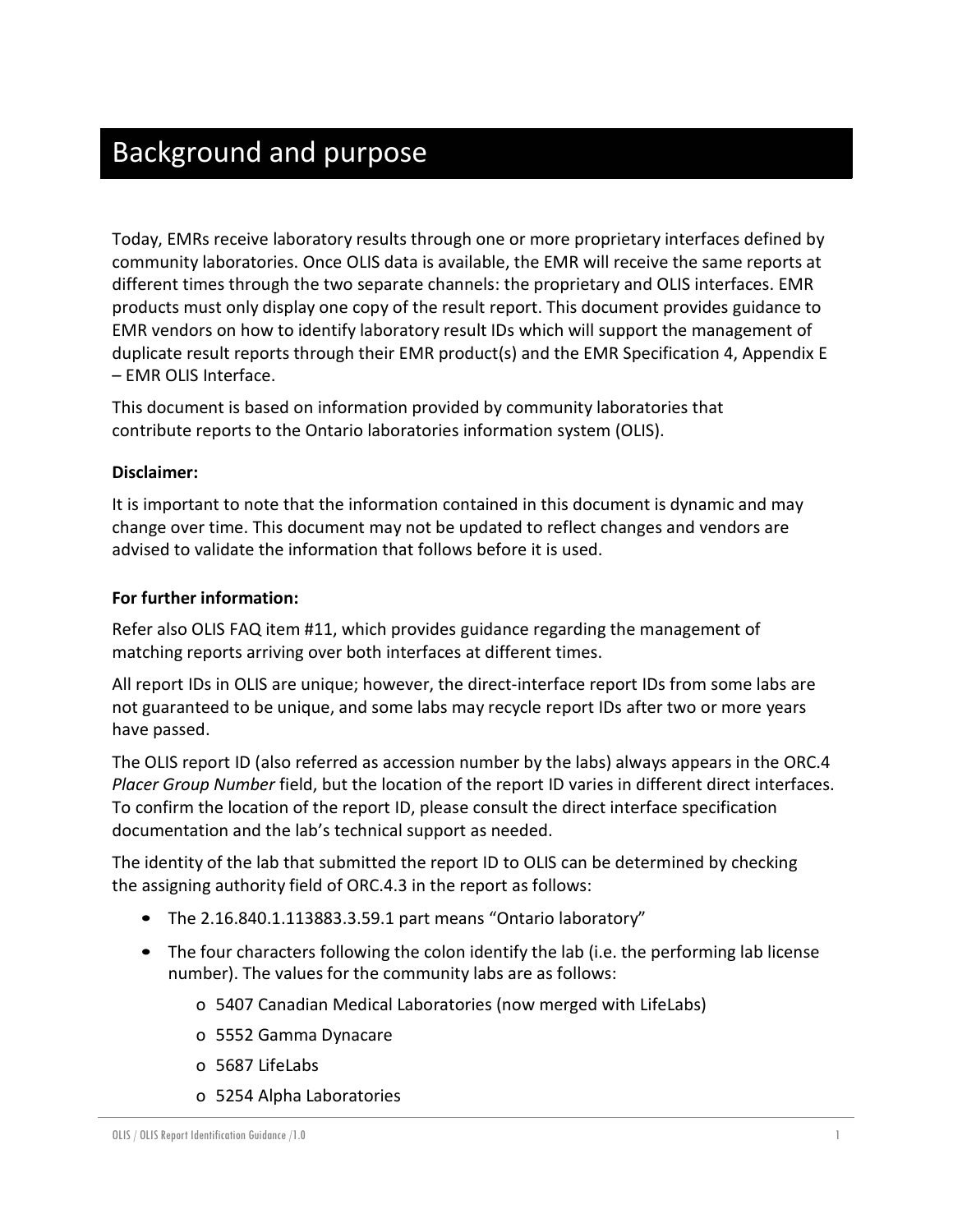# Background and purpose

Today, EMRs receive laboratory results through one or more proprietary interfaces defined by community laboratories. Once OLIS data is available, the EMR will receive the same reports at different times through the two separate channels: the proprietary and OLIS interfaces. EMR products must only display one copy of the result report. This document provides guidance to EMR vendors on how to identify laboratory result IDs which will support the management of duplicate result reports through their EMR product(s) and the EMR Specification 4, Appendix E – EMR OLIS Interface.

This document is based on information provided by community laboratories that contribute reports to the Ontario laboratories information system (OLIS).

#### **Disclaimer:**

It is important to note that the information contained in this document is dynamic and may change over time. This document may not be updated to reflect changes and vendors are advised to validate the information that follows before it is used.

#### **For further information:**

Refer also OLIS FAQ item #11, which provides guidance regarding the management of matching reports arriving over both interfaces at different times.

All report IDs in OLIS are unique; however, the direct-interface report IDs from some labs are not guaranteed to be unique, and some labs may recycle report IDs after two or more years have passed.

The OLIS report ID (also referred as accession number by the labs) always appears in the ORC.4 *Placer Group Number* field, but the location of the report ID varies in different direct interfaces. To confirm the location of the report ID, please consult the direct interface specification documentation and the lab's technical support as needed.

The identity of the lab that submitted the report ID to OLIS can be determined by checking the assigning authority field of ORC.4.3 in the report as follows:

- The 2.16.840.1.113883.3.59.1 part means "Ontario laboratory"
- The four characters following the colon identify the lab (i.e. the performing lab license number). The values for the community labs are as follows:
	- o 5407 Canadian Medical Laboratories (now merged with LifeLabs)
	- o 5552 Gamma Dynacare
	- o 5687 LifeLabs
	- o 5254 Alpha Laboratories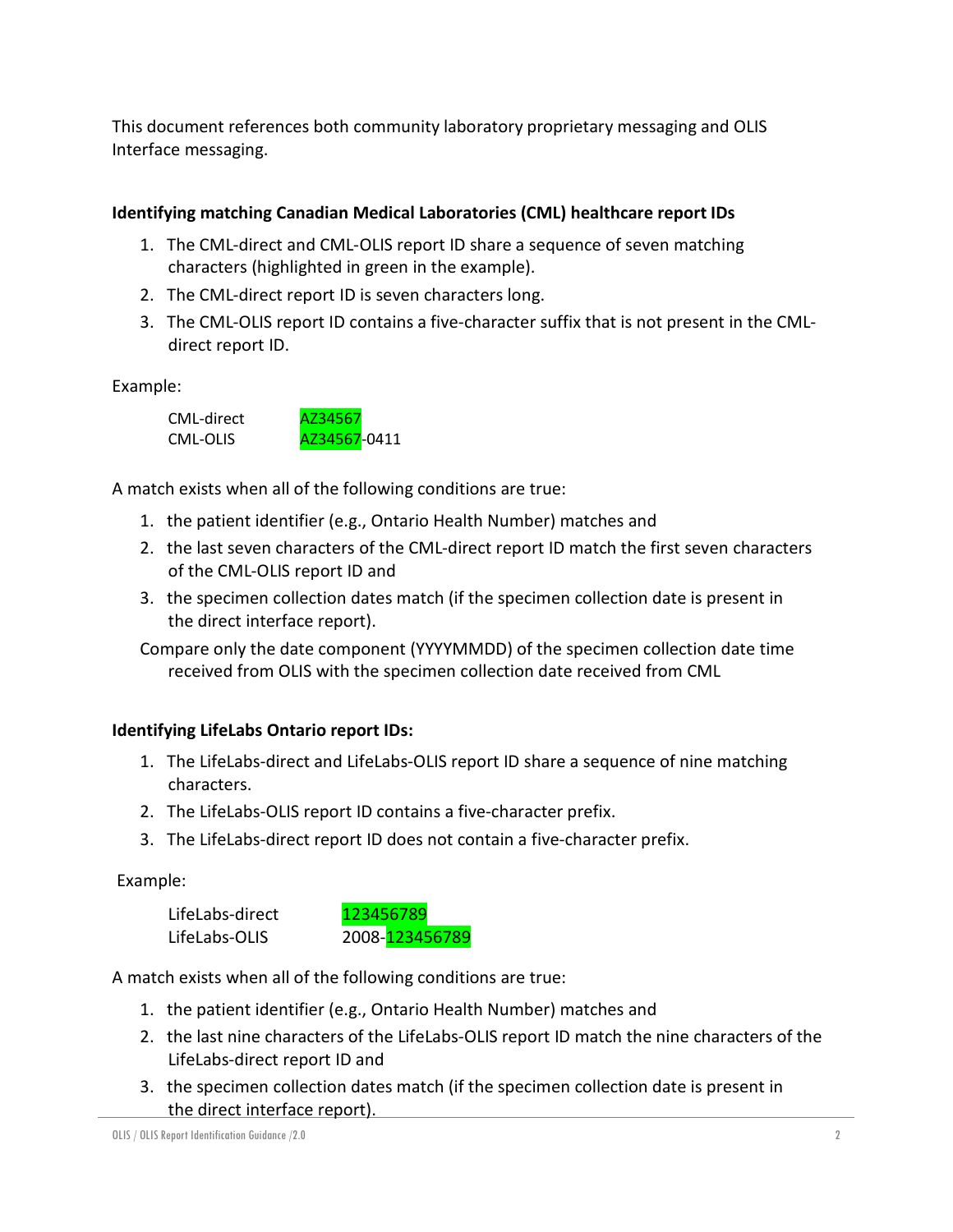This document references both community laboratory proprietary messaging and OLIS Interface messaging.

#### **Identifying matching Canadian Medical Laboratories (CML) healthcare report IDs**

- 1. The CML-direct and CML-OLIS report ID share a sequence of seven matching characters (highlighted in green in the example).
- 2. The CML-direct report ID is seven characters long.
- 3. The CML-OLIS report ID contains a five-character suffix that is not present in the CMLdirect report ID.

Example:



A match exists when all of the following conditions are true:

- 1. the patient identifier (e.g., Ontario Health Number) matches and
- 2. the last seven characters of the CML-direct report ID match the first seven characters of the CML-OLIS report ID and
- 3. the specimen collection dates match (if the specimen collection date is present in the direct interface report).

Compare only the date component (YYYYMMDD) of the specimen collection date time received from OLIS with the specimen collection date received from CML

#### **Identifying LifeLabs Ontario report IDs:**

- 1. The LifeLabs-direct and LifeLabs-OLIS report ID share a sequence of nine matching characters.
- 2. The LifeLabs-OLIS report ID contains a five-character prefix.
- 3. The LifeLabs-direct report ID does not contain a five-character prefix.

Example:



A match exists when all of the following conditions are true:

- 1. the patient identifier (e.g., Ontario Health Number) matches and
- 2. the last nine characters of the LifeLabs-OLIS report ID match the nine characters of the LifeLabs-direct report ID and
- 3. the specimen collection dates match (if the specimen collection date is present in the direct interface report).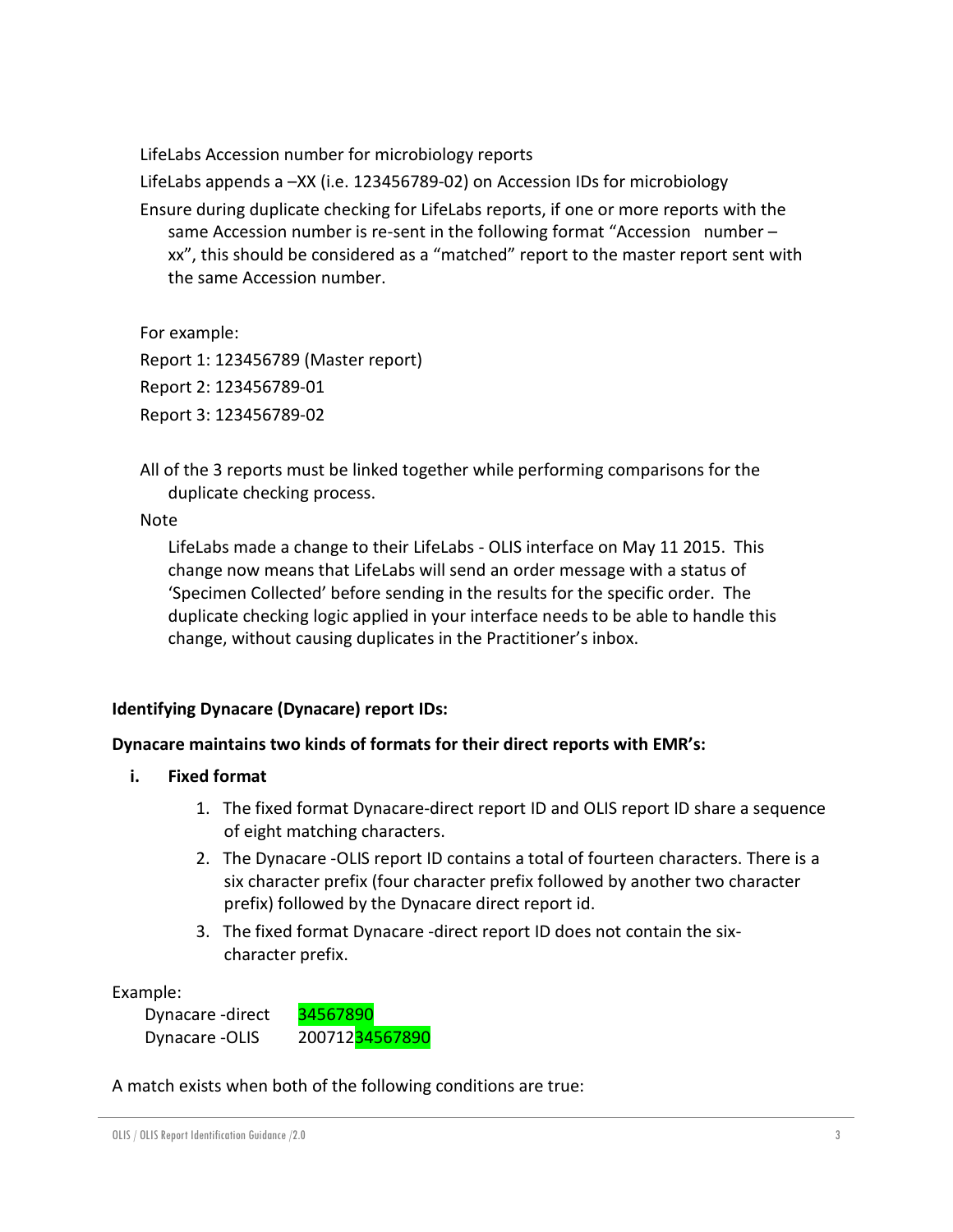LifeLabs Accession number for microbiology reports

LifeLabs appends a –XX (i.e. 123456789-02) on Accession IDs for microbiology

Ensure during duplicate checking for LifeLabs reports, if one or more reports with the same Accession number is re-sent in the following format "Accession number – xx", this should be considered as a "matched" report to the master report sent with the same Accession number.

For example:

Report 1: 123456789 (Master report)

Report 2: 123456789-01

Report 3: 123456789-02

All of the 3 reports must be linked together while performing comparisons for the duplicate checking process.

Note

LifeLabs made a change to their LifeLabs - OLIS interface on May 11 2015. This change now means that LifeLabs will send an order message with a status of 'Specimen Collected' before sending in the results for the specific order. The duplicate checking logic applied in your interface needs to be able to handle this change, without causing duplicates in the Practitioner's inbox.

#### **Identifying Dynacare (Dynacare) report IDs:**

#### **Dynacare maintains two kinds of formats for their direct reports with EMR's:**

- **i. Fixed format**
	- 1. The fixed format Dynacare-direct report ID and OLIS report ID share a sequence of eight matching characters.
	- 2. The Dynacare -OLIS report ID contains a total of fourteen characters. There is a six character prefix (four character prefix followed by another two character prefix) followed by the Dynacare direct report id.
	- 3. The fixed format Dynacare -direct report ID does not contain the sixcharacter prefix.

Example:

Dynacare -direct 34567890 Dynacare -OLIS 20071234567890

A match exists when both of the following conditions are true: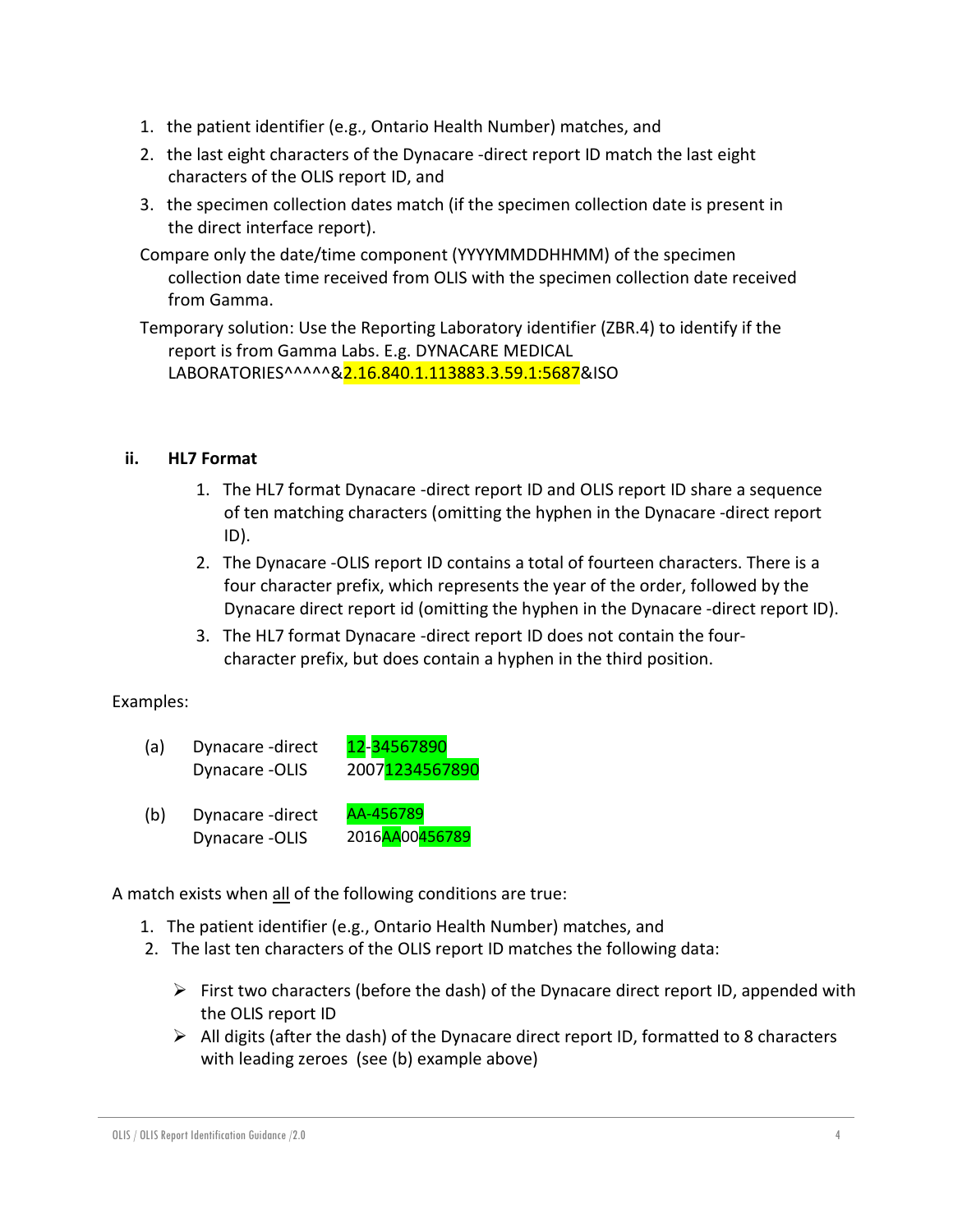- 1. the patient identifier (e.g., Ontario Health Number) matches, and
- 2. the last eight characters of the Dynacare -direct report ID match the last eight characters of the OLIS report ID, and
- 3. the specimen collection dates match (if the specimen collection date is present in the direct interface report).
- Compare only the date/time component (YYYYMMDDHHMM) of the specimen collection date time received from OLIS with the specimen collection date received from Gamma.

Temporary solution: Use the Reporting Laboratory identifier (ZBR.4) to identify if the report is from Gamma Labs. E.g. DYNACARE MEDICAL LABORATORIES^^^^^&2.16.840.1.113883.3.59.1:5687&ISO

#### **ii. HL7 Format**

- 1. The HL7 format Dynacare -direct report ID and OLIS report ID share a sequence of ten matching characters (omitting the hyphen in the Dynacare -direct report ID).
- 2. The Dynacare -OLIS report ID contains a total of fourteen characters. There is a four character prefix, which represents the year of the order, followed by the Dynacare direct report id (omitting the hyphen in the Dynacare -direct report ID).
- 3. The HL7 format Dynacare -direct report ID does not contain the fourcharacter prefix, but does contain a hyphen in the third position.

#### Examples:

- (a) Dynacare -direct  $12$ -34567890 Dynacare -OLIS 20071234567890
- (b) Dynacare -direct AA-456789 Dynacare -OLIS 2016AA00456789

A match exists when all of the following conditions are true:

- 1. The patient identifier (e.g., Ontario Health Number) matches, and
- 2. The last ten characters of the OLIS report ID matches the following data:
	- $\triangleright$  First two characters (before the dash) of the Dynacare direct report ID, appended with the OLIS report ID
	- $\triangleright$  All digits (after the dash) of the Dynacare direct report ID, formatted to 8 characters with leading zeroes (see (b) example above)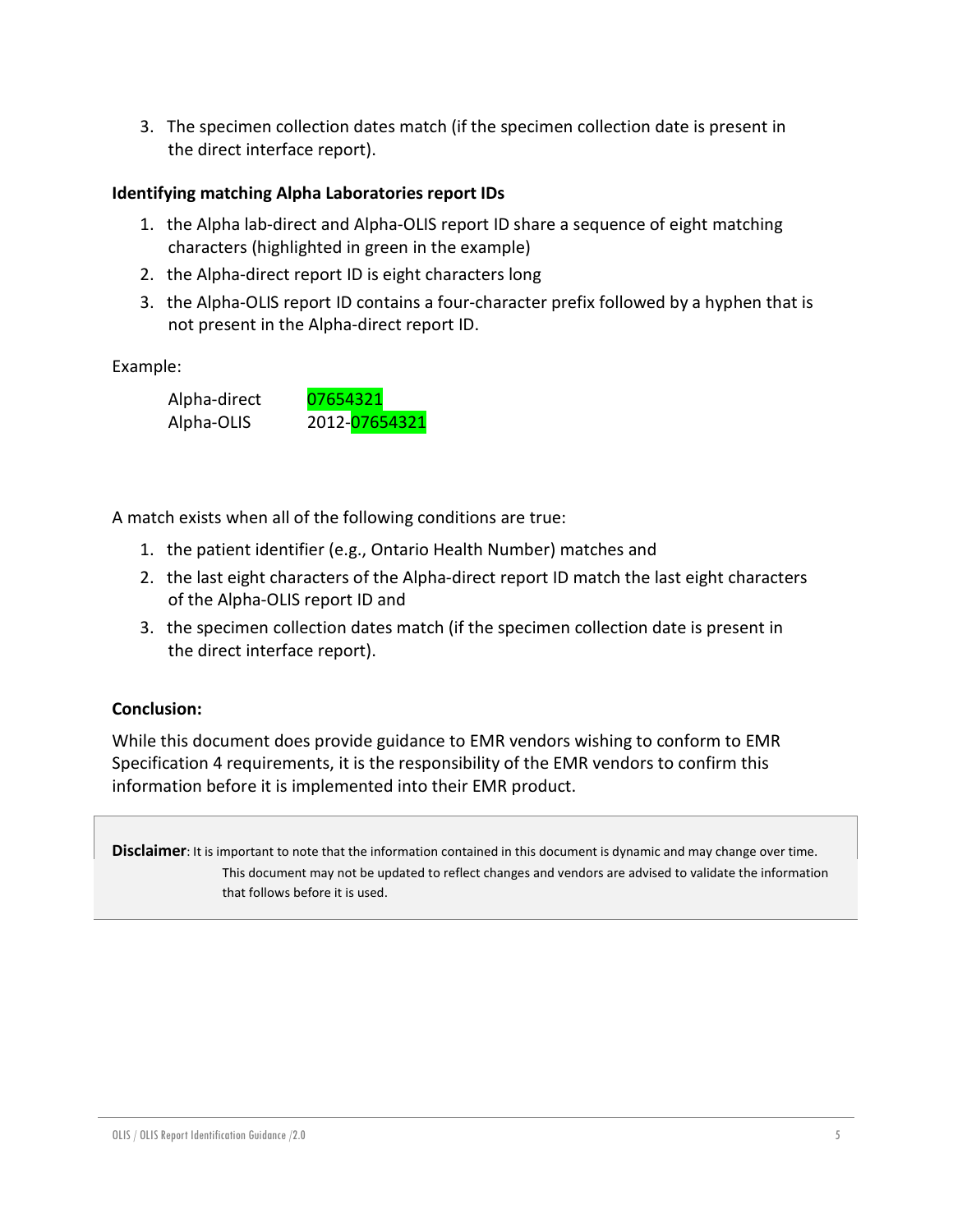3. The specimen collection dates match (if the specimen collection date is present in the direct interface report).

#### **Identifying matching Alpha Laboratories report IDs**

- 1. the Alpha lab-direct and Alpha-OLIS report ID share a sequence of eight matching characters (highlighted in green in the example)
- 2. the Alpha-direct report ID is eight characters long
- 3. the Alpha-OLIS report ID contains a four-character prefix followed by a hyphen that is not present in the Alpha-direct report ID.

#### Example:

Alpha-direct 07654321 Alpha-OLIS 2012-07654321

A match exists when all of the following conditions are true:

- 1. the patient identifier (e.g., Ontario Health Number) matches and
- 2. the last eight characters of the Alpha-direct report ID match the last eight characters of the Alpha-OLIS report ID and
- 3. the specimen collection dates match (if the specimen collection date is present in the direct interface report).

#### **Conclusion:**

While this document does provide guidance to EMR vendors wishing to conform to EMR Specification 4 requirements, it is the responsibility of the EMR vendors to confirm this information before it is implemented into their EMR product.

**Disclaimer**: It is important to note that the information contained in this document is dynamic and may change over time. This document may not be updated to reflect changes and vendors are advised to validate the information that follows before it is used.